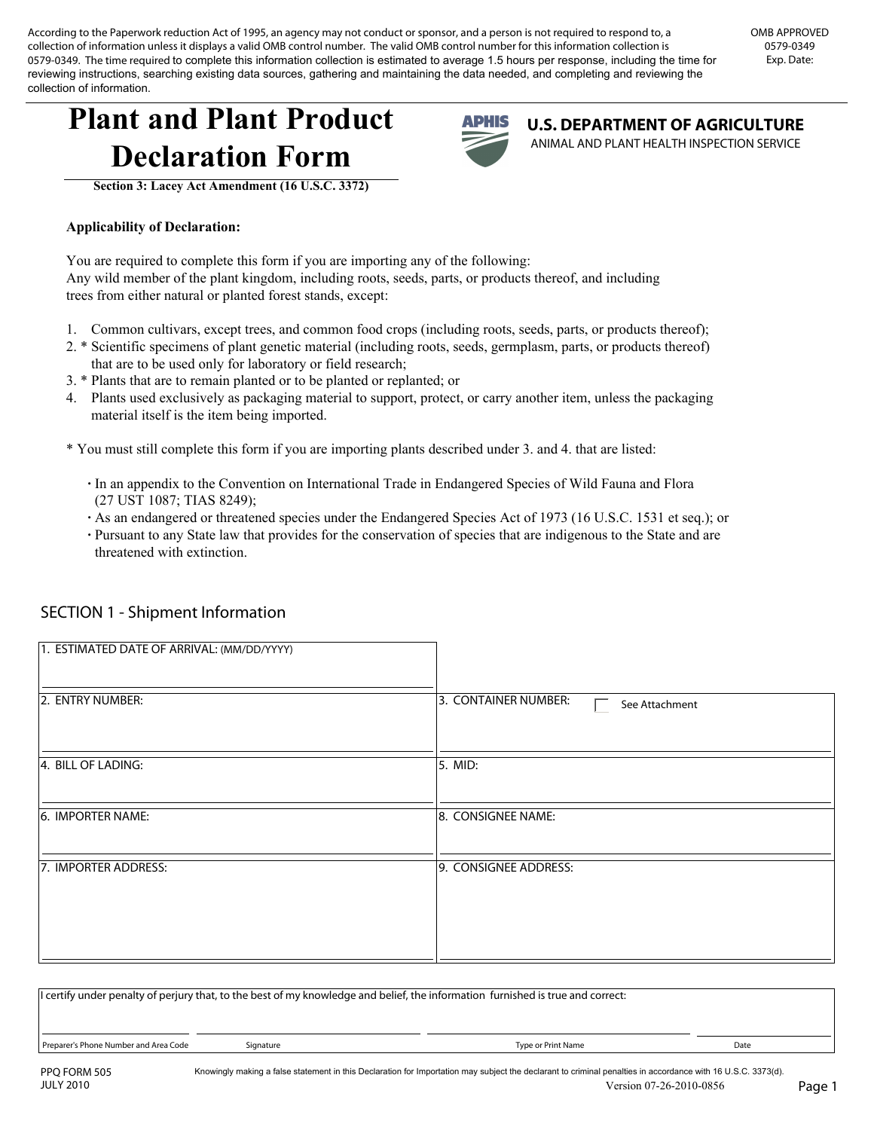According to the Paperwork reduction Act of 1995, an agency may not conduct or sponsor, and a person is not required to respond to, a collection of information unless it displays a valid OMB control number. The valid OMB control number for this information collection is 0579-0349. The time required to complete this information collection is estimated to average 1.5 hours per response, including the time for reviewing instructions, searching existing data sources, gathering and maintaining the data needed, and completing and reviewing the collection of information.

## **Plant and Plant Product Declaration Form**



**U.S. DEPARTMENT OF AGRICULTURE**  ANIMAL AND PLANT HEALTH INSPECTION SERVICE

**Section 3: Lacey Act Amendment (16 U.S.C. 3372)**

## **Applicability of Declaration:**

You are required to complete this form if you are importing any of the following: Any wild member of the plant kingdom, including roots, seeds, parts, or products thereof, and including trees from either natural or planted forest stands, except:

- 1. Common cultivars, except trees, and common food crops (including roots, seeds, parts, or products thereof);
- 2. \* Scientific specimens of plant genetic material (including roots, seeds, germplasm, parts, or products thereof) that are to be used only for laboratory or field research;
- 3. \* Plants that are to remain planted or to be planted or replanted; or
- 4. Plants used exclusively as packaging material to support, protect, or carry another item, unless the packaging material itself is the item being imported.
- \* You must still complete this form if you are importing plants described under 3. and 4. that are listed:
	- **·** In an appendix to the Convention on International Trade in Endangered Species of Wild Fauna and Flora (27 UST 1087; TIAS 8249);
	- **·** As an endangered or threatened species under the Endangered Species Act of 1973 (16 U.S.C. 1531 et seq.); or
	- **·** Pursuant to any State law that provides for the conservation of species that are indigenous to the State and are threatened with extinction.

| 1. ESTIMATED DATE OF ARRIVAL: (MM/DD/YYYY) |                                        |
|--------------------------------------------|----------------------------------------|
| 2. ENTRY NUMBER:                           | 3. CONTAINER NUMBER:<br>See Attachment |
| 4. BILL OF LADING:                         | 5. MID:                                |
| 6. IMPORTER NAME:                          | 8. CONSIGNEE NAME:                     |
| 7. IMPORTER ADDRESS:                       | 9. CONSIGNEE ADDRESS:                  |
|                                            |                                        |
|                                            |                                        |

## SECTION 1 - Shipment Information

| I certify under penalty of perjury that, to the best of my knowledge and belief, the information furnished is true and correct: |           |                    |      |  |  |
|---------------------------------------------------------------------------------------------------------------------------------|-----------|--------------------|------|--|--|
| Preparer's Phone Number and Area Code                                                                                           | Signature | Type or Print Name | Date |  |  |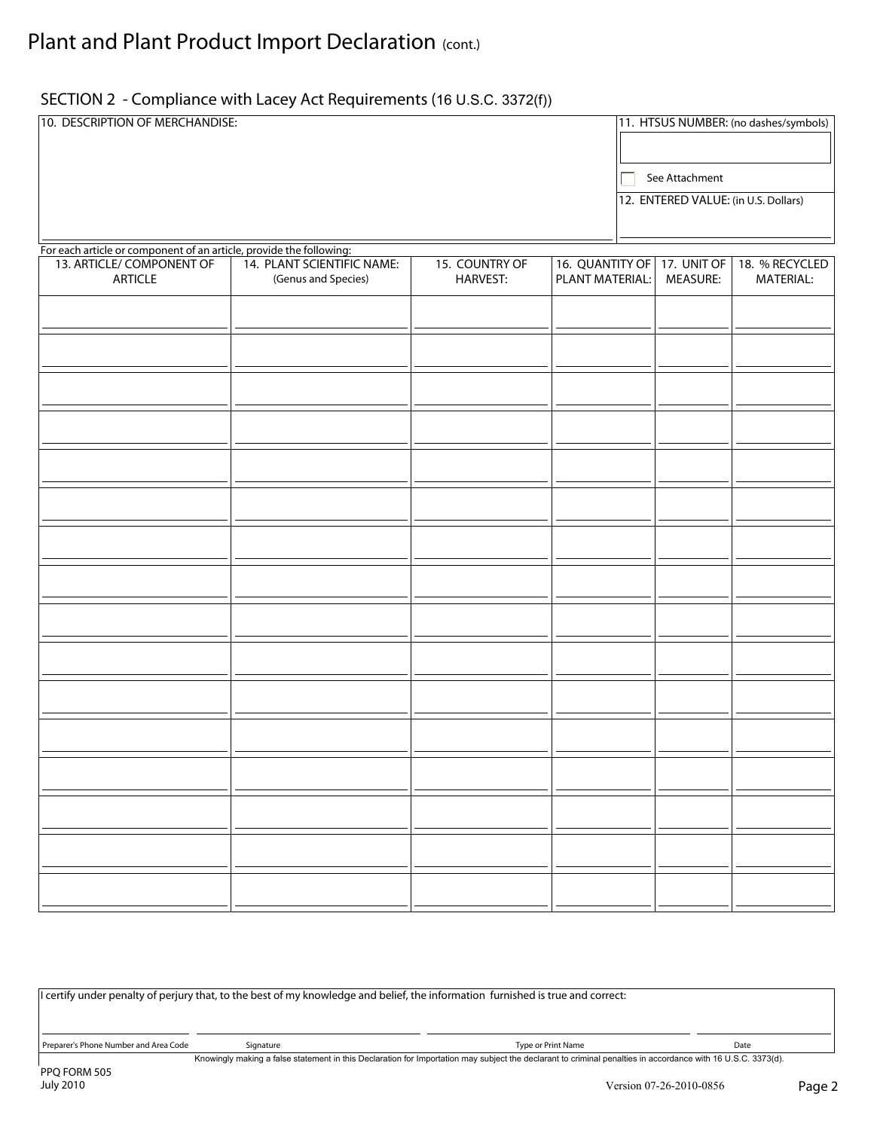## SECTION 2 - Compliance with Lacey Act Requirements (16 U.S.C. 3372(f))

| 10. DESCRIPTION OF MERCHANDISE:                                     |                                                   |                                   |                                                | 11. HTSUS NUMBER: (no dashes/symbols) |                             |  |  |
|---------------------------------------------------------------------|---------------------------------------------------|-----------------------------------|------------------------------------------------|---------------------------------------|-----------------------------|--|--|
|                                                                     |                                                   |                                   |                                                | See Attachment                        |                             |  |  |
|                                                                     |                                                   |                                   |                                                | 12. ENTERED VALUE: (in U.S. Dollars)  |                             |  |  |
| For each article or component of an article, provide the following: |                                                   |                                   |                                                |                                       |                             |  |  |
| 13. ARTICLE/ COMPONENT OF<br><b>ARTICLE</b>                         | 14. PLANT SCIENTIFIC NAME:<br>(Genus and Species) | 15. COUNTRY OF<br><b>HARVEST:</b> | 16. QUANTITY OF 17. UNIT OF<br>PLANT MATERIAL: | MEASURE:                              | 18. % RECYCLED<br>MATERIAL: |  |  |
|                                                                     |                                                   |                                   |                                                | $\blacktriangledown$                  |                             |  |  |
|                                                                     |                                                   |                                   |                                                | $\blacktriangledown$                  |                             |  |  |
|                                                                     |                                                   |                                   |                                                | $\overline{\phantom{0}}$              |                             |  |  |
|                                                                     |                                                   |                                   |                                                | $\blacktriangledown$                  |                             |  |  |
|                                                                     |                                                   |                                   |                                                | $\overline{\phantom{a}}$              |                             |  |  |
|                                                                     |                                                   |                                   |                                                | $\blacktriangledown$                  |                             |  |  |
|                                                                     |                                                   |                                   |                                                | $\blacktriangledown$                  |                             |  |  |
|                                                                     |                                                   |                                   |                                                | $\blacktriangledown$                  |                             |  |  |
|                                                                     |                                                   |                                   |                                                | $\overline{\phantom{a}}$              |                             |  |  |
|                                                                     |                                                   |                                   |                                                | $\blacktriangledown$                  |                             |  |  |
|                                                                     |                                                   |                                   |                                                | $\blacktriangledown$                  |                             |  |  |
|                                                                     |                                                   |                                   |                                                | $\blacktriangledown$                  |                             |  |  |
|                                                                     |                                                   |                                   |                                                | $\overline{\phantom{a}}$              |                             |  |  |
|                                                                     |                                                   |                                   |                                                | $\blacktriangledown$                  |                             |  |  |
|                                                                     |                                                   |                                   |                                                | $\blacktriangledown$                  |                             |  |  |
|                                                                     |                                                   |                                   |                                                | $\blacktriangledown$                  |                             |  |  |

| If certify under penalty of perjury that, to the best of my knowledge and belief, the information furnished is true and correct:                             |           |                    |      |  |
|--------------------------------------------------------------------------------------------------------------------------------------------------------------|-----------|--------------------|------|--|
| Preparer's Phone Number and Area Code                                                                                                                        | Signature | Type or Print Name | Date |  |
| Knowingly making a false statement in this Declaration for Importation may subject the declarant to criminal penalties in accordance with 16 U.S.C. 3373(d). |           |                    |      |  |
| DDO EODM 505                                                                                                                                                 |           |                    |      |  |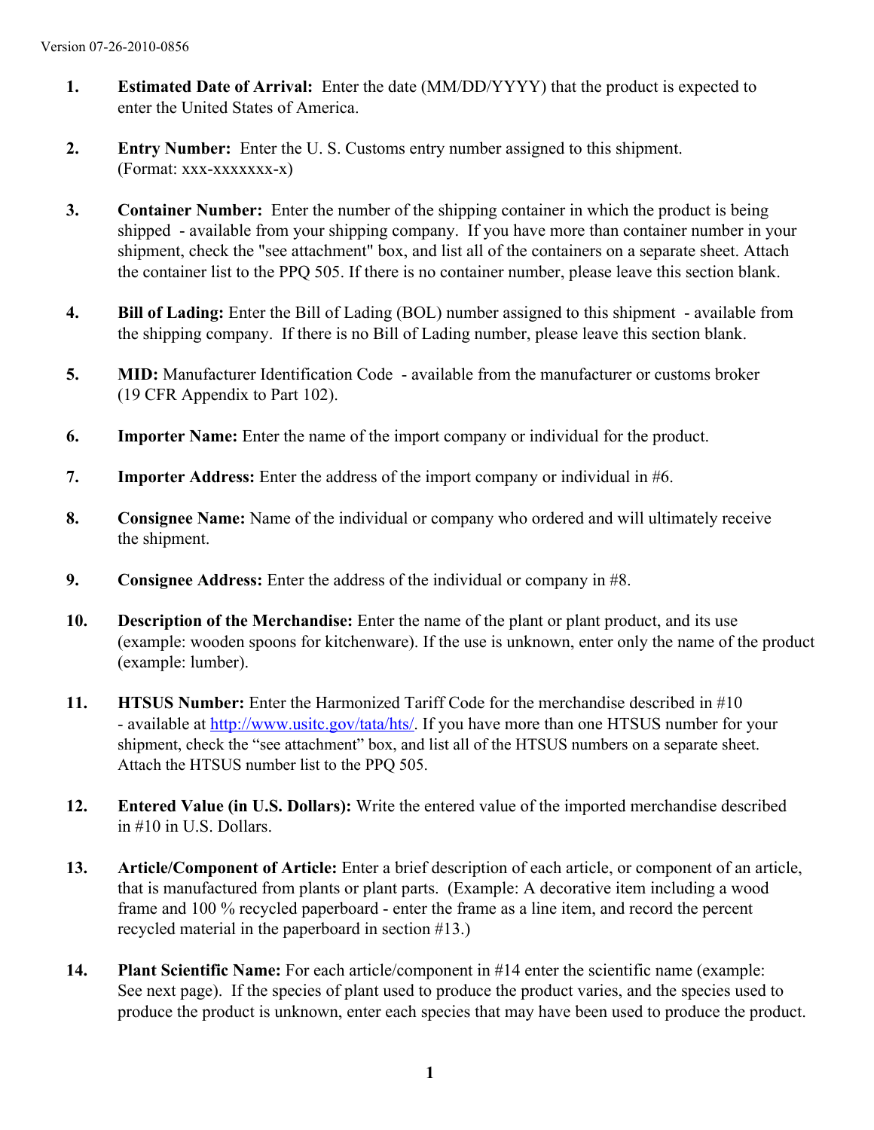- **1. Estimated Date of Arrival:** Enter the date (MM/DD/YYYY) that the product is expected to enter the United States of America.
- **2. Entry Number:** Enter the U. S. Customs entry number assigned to this shipment. (Format: xxx-xxxxxxx-x)
- **3. Container Number:** Enter the number of the shipping container in which the product is being shipped - available from your shipping company. If you have more than container number in your shipment, check the "see attachment" box, and list all of the containers on a separate sheet. Attach the container list to the PPQ 505. If there is no container number, please leave this section blank.
- **4. Bill of Lading:** Enter the Bill of Lading (BOL) number assigned to this shipment available from the shipping company. If there is no Bill of Lading number, please leave this section blank.
- **5. MID:** Manufacturer Identification Code available from the manufacturer or customs broker (19 CFR Appendix to Part 102).
- **6. Importer Name:** Enter the name of the import company or individual for the product.
- **7. Importer Address:** Enter the address of the import company or individual in #6.
- **8. Consignee Name:** Name of the individual or company who ordered and will ultimately receive the shipment.
- **9. Consignee Address:** Enter the address of the individual or company in #8.
- **10. Description of the Merchandise:** Enter the name of the plant or plant product, and its use (example: wooden spoons for kitchenware). If the use is unknown, enter only the name of the product (example: lumber).
- **11. HTSUS Number:** Enter the Harmonized Tariff Code for the merchandise described in #10 - available at http://www.usitc.gov/tata/hts/. If you have more than one HTSUS number for your shipment, check the "see attachment" box, and list all of the HTSUS numbers on a separate sheet. Attach the HTSUS number list to the PPQ 505.
- **12. Entered Value (in U.S. Dollars):** Write the entered value of the imported merchandise described in #10 in U.S. Dollars.
- **13. Article/Component of Article:** Enter a brief description of each article, or component of an article, that is manufactured from plants or plant parts. (Example: A decorative item including a wood frame and 100 % recycled paperboard - enter the frame as a line item, and record the percent recycled material in the paperboard in section #13.)
- **14. Plant Scientific Name:** For each article/component in #14 enter the scientific name (example: See next page). If the species of plant used to produce the product varies, and the species used to produce the product is unknown, enter each species that may have been used to produce the product.